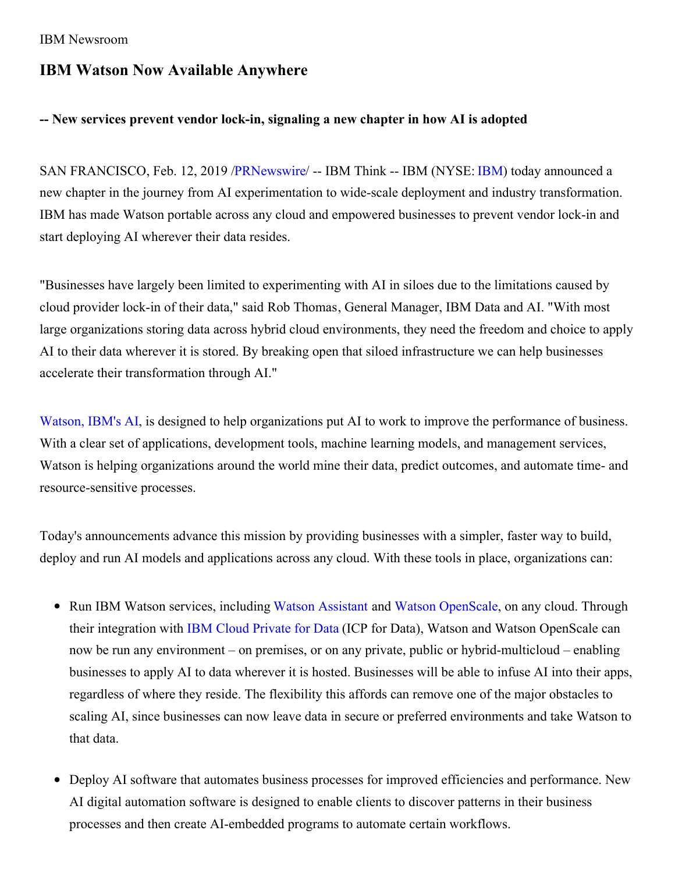# **IBM Watson Now Available Anywhere**

# **-- New services prevent vendor lock-in, signaling a new chapter in how AI is adopted**

SAN FRANCISCO, Feb. 12, 2019 [/PRNewswire](http://www.prnewswire.com/)/ -- [IBM](https://c212.net/c/link/?t=0&l=en&o=2372597-1&h=859337084&u=http%3A%2F%2Fwww.ibm.com%2Finvestors%2F&a=IBM) Think -- IBM (NYSE: IBM) today announced a new chapter in the journey from AI experimentation to wide-scale deployment and industry transformation. IBM has made Watson portable across any cloud and empowered businesses to prevent vendor lock-in and start deploying AI wherever their data resides.

"Businesses have largely been limited to experimenting with AI in siloes due to the limitations caused by cloud provider lock-in of their data," said Rob Thomas, General Manager, IBM Data and AI. "With most large organizations storing data across hybrid cloud environments, they need the freedom and choice to apply AI to their data wherever it is stored. By breaking open that siloed infrastructure we can help businesses accelerate their transformation through AI."

[Watson,](https://c212.net/c/link/?t=0&l=en&o=2372597-1&h=1170076348&u=https%3A%2F%2Fwww.ibm.com%2Fwatson&a=Watson%2C+IBM%27s+AI) IBM's AI, is designed to help organizations put AI to work to improve the performance of business. With a clear set of applications, development tools, machine learning models, and management services, Watson is helping organizations around the world mine their data, predict outcomes, and automate time- and resource-sensitive processes.

Today's announcements advance this mission by providing businesses with a simpler, faster way to build, deploy and run AI models and applications across any cloud. With these tools in place, organizations can:

- Run IBM Watson services, including Watson [Assistant](https://c212.net/c/link/?t=0&l=en&o=2372597-1&h=306518585&u=https%3A%2F%2Fwww.ibm.com%2Fcloud%2Fwatson-assistant%2F%3FS_PKG%3DAW%26cm_mmc%3DSearch_Google-_-Watson%2BCore_Watson%2BCore%2B-%2BDiscovery-_-NA-_-%2Bwatson%2B%2Bassistant_Broad_%26cm_mmca1%3D000018SW%26cm_mmca2%3D10006919%26cm_mmca7%3D9005498%26cm_mmca8%3Dkwd-451214968547%26cm_mmca9%3D_k_EAIaIQobChMIh5TE1aet4AIVkVuGCh1plggVEAAYASAAEgJftPD_BwE_k_%26cm_mmca10%3D305553535652%26cm_mmca11%3Db%26mkwid%3D_k_EAIaIQobChMIh5TE1aet4AIVkVuGCh1plggVEAAYASAAEgJftPD_BwE_k_%7C1081%7C226323%26cvosrc%3Dppc.google.%252Bwatson%2520%252Bassistant%26cvo_campaign%3D000018SW%26cvo_crid%3D305553535652%26Matchtype%3Db%26gclid%3DEAIaIQobChMIh5TE1aet4AIVkVuGCh1plggVEAAYASAAEgJftPD_BwE&a=Watson+Assistant) and Watson [OpenScale](https://c212.net/c/link/?t=0&l=en&o=2372597-1&h=3354564759&u=https%3A%2F%2Fwww.ibm.com%2Fcloud%2Fwatson-openscale&a=Watson+OpenScale), on any cloud. Through their integration with IBM Cloud [Private](https://c212.net/c/link/?t=0&l=en&o=2372597-1&h=2533235884&u=https%3A%2F%2Fwww.ibm.com%2Fanalytics%2Fcloud-private-for-data&a=IBM+Cloud+Private+for+Data) for Data (ICP for Data), Watson and Watson OpenScale can now be run any environment – on premises, or on any private, public or hybrid-multicloud – enabling businesses to apply AI to data wherever it is hosted. Businesses will be able to infuse AI into their apps, regardless of where they reside. The flexibility this affords can remove one of the major obstacles to scaling AI, since businesses can now leave data in secure or preferred environments and take Watson to that data.
- Deploy AI software that automates business processes for improved efficiencies and performance. New AI digital automation software is designed to enable clients to discover patterns in their business processes and then create AI-embedded programs to automate certain workflows.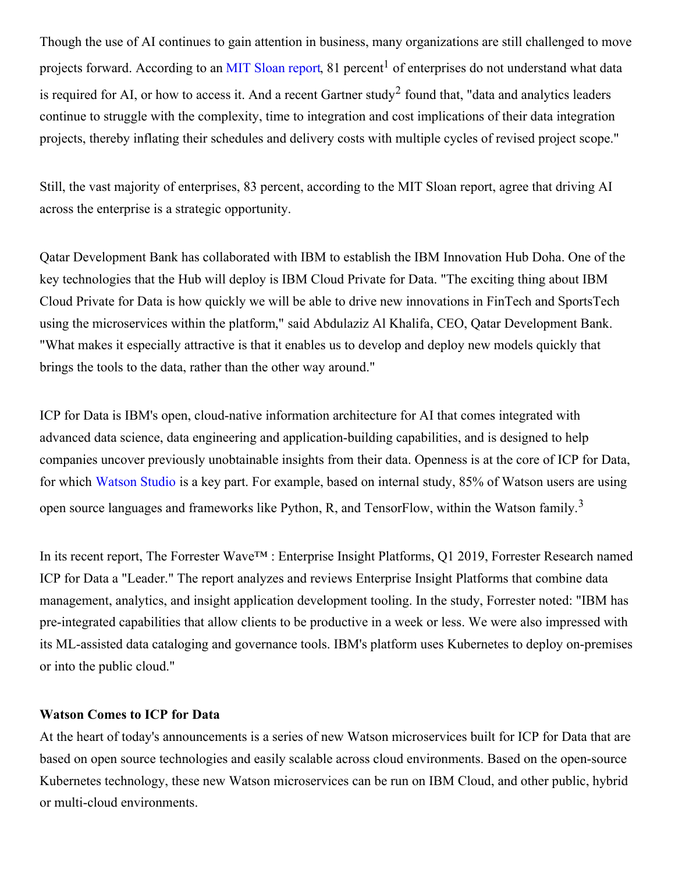Though the use of AI continues to gain attention in business, many organizations are still challenged to move projects forward. According to an MIT [Sloan](https://c212.net/c/link/?t=0&l=en&o=2372597-1&h=1685142035&u=https%3A%2F%2Fsloanreview.mit.edu%2Fprojects%2Freshaping-business-with-artificial-intelligence%2F&a=MIT+Sloan+report) report, 81 percent<sup>1</sup> of enterprises do not understand what data is required for AI, or how to access it. And a recent Gartner study<sup>2</sup> found that, "data and analytics leaders continue to struggle with the complexity, time to integration and cost implications of their data integration projects, thereby inflating their schedules and delivery costs with multiple cycles of revised project scope."

Still, the vast majority of enterprises, 83 percent, according to the MIT Sloan report, agree that driving AI across the enterprise is a strategic opportunity.

Qatar Development Bank has collaborated with IBM to establish the IBM Innovation Hub Doha. One of the key technologies that the Hub will deploy is IBM Cloud Private for Data. "The exciting thing about IBM Cloud Private for Data is how quickly we will be able to drive new innovations in FinTech and SportsTech using the microservices within the platform," said Abdulaziz Al Khalifa, CEO, Qatar Development Bank. "What makes it especially attractive is that it enables us to develop and deploy new models quickly that brings the tools to the data, rather than the other way around."

ICP for Data is IBM's open, cloud-native information architecture for AI that comes integrated with advanced data science, data engineering and application-building capabilities, and is designed to help companies uncover previously unobtainable insights from their data. Openness is at the core of ICP for Data, for which [Watson](https://c212.net/c/link/?t=0&l=en&o=2372597-1&h=2314378892&u=https%3A%2F%2Fwww.ibm.com%2Fcloud%2Fwatson-studio&a=Watson+Studio) Studio is a key part. For example, based on internal study, 85% of Watson users are using open source languages and frameworks like Python, R, and TensorFlow, within the Watson family.<sup>3</sup>

In its recent report, The Forrester Wave™ : Enterprise Insight Platforms, Q1 2019, Forrester Research named ICP for Data a "Leader." The report analyzes and reviews Enterprise Insight Platforms that combine data management, analytics, and insight application development tooling. In the study, Forrester noted: "IBM has pre-integrated capabilities that allow clients to be productive in a week or less. We were also impressed with its ML-assisted data cataloging and governance tools. IBM's platform uses Kubernetes to deploy on-premises or into the public cloud."

### **Watson Comes to ICP for Data**

At the heart of today's announcements is a series of new Watson microservices built for ICP for Data that are based on open source technologies and easily scalable across cloud environments. Based on the open-source Kubernetes technology, these new Watson microservices can be run on IBM Cloud, and other public, hybrid or multi-cloud environments.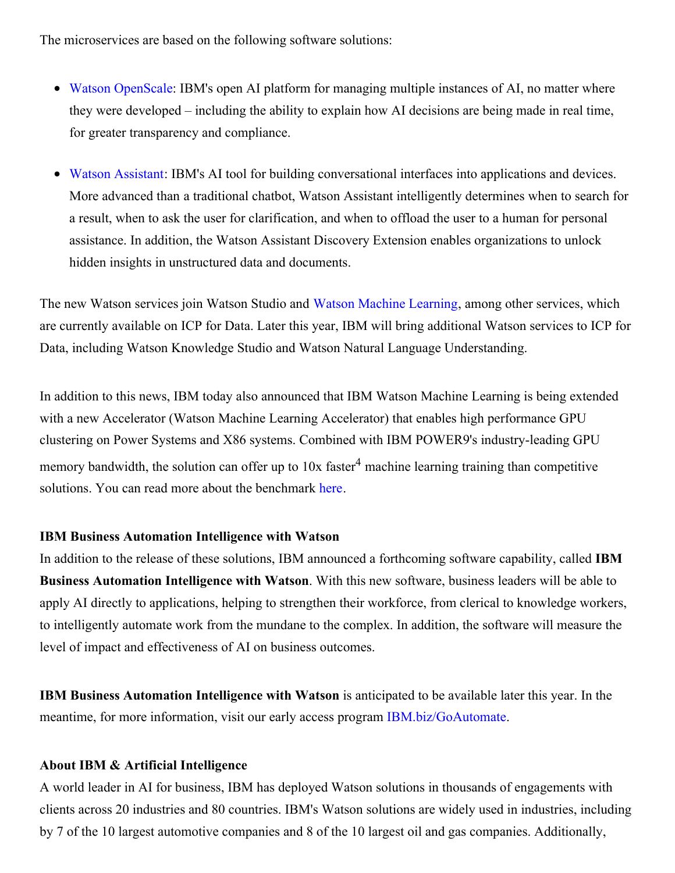The microservices are based on the following software solutions:

- Watson [OpenScale](https://c212.net/c/link/?t=0&l=en&o=2372597-1&h=3354564759&u=https%3A%2F%2Fwww.ibm.com%2Fcloud%2Fwatson-openscale&a=Watson+OpenScale): IBM's open AI platform for managing multiple instances of AI, no matter where they were developed – including the ability to explain how AI decisions are being made in real time, for greater transparency and compliance.
- Watson [Assistant](https://c212.net/c/link/?t=0&l=en&o=2372597-1&h=306518585&u=https%3A%2F%2Fwww.ibm.com%2Fcloud%2Fwatson-assistant%2F%3FS_PKG%3DAW%26cm_mmc%3DSearch_Google-_-Watson%2BCore_Watson%2BCore%2B-%2BDiscovery-_-NA-_-%2Bwatson%2B%2Bassistant_Broad_%26cm_mmca1%3D000018SW%26cm_mmca2%3D10006919%26cm_mmca7%3D9005498%26cm_mmca8%3Dkwd-451214968547%26cm_mmca9%3D_k_EAIaIQobChMIh5TE1aet4AIVkVuGCh1plggVEAAYASAAEgJftPD_BwE_k_%26cm_mmca10%3D305553535652%26cm_mmca11%3Db%26mkwid%3D_k_EAIaIQobChMIh5TE1aet4AIVkVuGCh1plggVEAAYASAAEgJftPD_BwE_k_%7C1081%7C226323%26cvosrc%3Dppc.google.%252Bwatson%2520%252Bassistant%26cvo_campaign%3D000018SW%26cvo_crid%3D305553535652%26Matchtype%3Db%26gclid%3DEAIaIQobChMIh5TE1aet4AIVkVuGCh1plggVEAAYASAAEgJftPD_BwE&a=Watson+Assistant): IBM's AI tool for building conversational interfaces into applications and devices. More advanced than a traditional chatbot, Watson Assistant intelligently determines when to search for a result, when to ask the user for clarification, and when to offload the user to a human for personal assistance. In addition, the Watson Assistant Discovery Extension enables organizations to unlock hidden insights in unstructured data and documents.

The new Watson services join Watson Studio and Watson Machine [Learning](https://c212.net/c/link/?t=0&l=en&o=2372597-1&h=3563735847&u=https%3A%2F%2Fwww.ibm.com%2Fcloud%2Fmachine-learning&a=Watson+Machine+Learning), among other services, which are currently available on ICP for Data. Later this year, IBM will bring additional Watson services to ICP for Data, including Watson Knowledge Studio and Watson Natural Language Understanding.

In addition to this news, IBM today also announced that IBM Watson Machine Learning is being extended with a new Accelerator (Watson Machine Learning Accelerator) that enables high performance GPU clustering on Power Systems and X86 systems. Combined with IBM POWER9's industry-leading GPU memory bandwidth, the solution can offer up to 10x faster<sup>4</sup> machine learning training than competitive solutions. You can read more about the benchmark [here](https://c212.net/c/link/?t=0&l=en&o=2372597-1&h=2881536679&u=https%3A%2F%2Fwww.ibm.com%2Fblogs%2Fsystems%2Fpower-snapml-watson-machine-learning&a=here).

# **IBM Business Automation Intelligence with Watson**

In addition to the release of these solutions, IBM announced a forthcoming software capability, called **IBM Business Automation Intelligence with Watson**. With this new software, business leaders will be able to apply AI directly to applications, helping to strengthen their workforce, from clerical to knowledge workers, to intelligently automate work from the mundane to the complex. In addition, the software will measure the level of impact and effectiveness of AI on business outcomes.

**IBM Business Automation Intelligence with Watson** is anticipated to be available later this year. In the meantime, for more information, visit our early access program [IBM.biz/GoAutomate](https://c212.net/c/link/?t=0&l=en&o=2372597-1&h=2107692627&u=http%3A%2F%2Fibm.biz%2FGoAutomate&a=IBM.biz%2FGoAutomate).

## **About IBM & Artificial Intelligence**

A world leader in AI for business, IBM has deployed Watson solutions in thousands of engagements with clients across 20 industries and 80 countries. IBM's Watson solutions are widely used in industries, including by 7 of the 10 largest automotive companies and 8 of the 10 largest oil and gas companies. Additionally,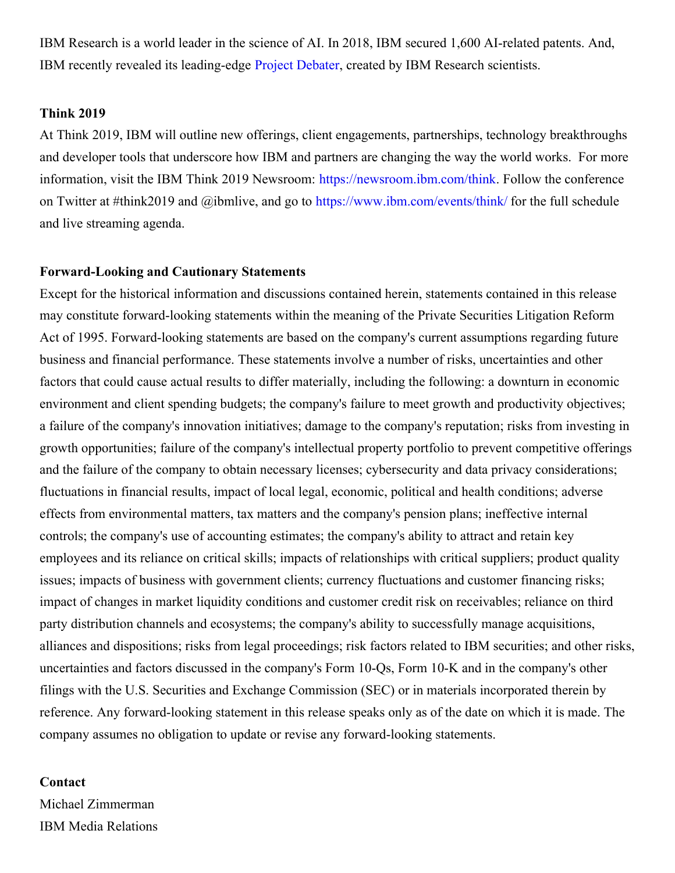IBM Research is a world leader in the science of AI. In 2018, IBM secured 1,600 AI-related patents. And, IBM recently revealed its leading-edge Project [Debater](https://c212.net/c/link/?t=0&l=en&o=2372597-1&h=1544097688&u=https%3A%2F%2Fwww.research.ibm.com%2Fartificial-intelligence%2Fproject-debater%2F&a=Project+Debater), created by IBM Research scientists.

#### **Think 2019**

At Think 2019, IBM will outline new offerings, client engagements, partnerships, technology breakthroughs and developer tools that underscore how IBM and partners are changing the way the world works. For more information, visit the IBM Think 2019 Newsroom: [https://newsroom.ibm.com/think](https://c212.net/c/link/?t=0&l=en&o=2372597-1&h=3698363065&u=https%3A%2F%2Fnewsroom.ibm.com%2Fthink&a=https%3A%2F%2Fnewsroom.ibm.com%2Fthink). Follow the conference on Twitter at #think2019 and @ibmlive, and go to [https://www.ibm.com/events/think/](https://c212.net/c/link/?t=0&l=en&o=2372597-1&h=1463085695&u=https%3A%2F%2Fwww.ibm.com%2Fevents%2Fthink%2F&a=https%3A%2F%2Fwww.ibm.com%2Fevents%2Fthink%2F) for the full schedule and live streaming agenda.

### **Forward-Looking and Cautionary Statements**

Except for the historical information and discussions contained herein, statements contained in this release may constitute forward-looking statements within the meaning of the Private Securities Litigation Reform Act of 1995. Forward-looking statements are based on the company's current assumptions regarding future business and financial performance. These statements involve a number of risks, uncertainties and other factors that could cause actual results to differ materially, including the following: a downturn in economic environment and client spending budgets; the company's failure to meet growth and productivity objectives; a failure of the company's innovation initiatives; damage to the company's reputation; risks from investing in growth opportunities; failure of the company's intellectual property portfolio to prevent competitive offerings and the failure of the company to obtain necessary licenses; cybersecurity and data privacy considerations; fluctuations in financial results, impact of local legal, economic, political and health conditions; adverse effects from environmental matters, tax matters and the company's pension plans; ineffective internal controls; the company's use of accounting estimates; the company's ability to attract and retain key employees and its reliance on critical skills; impacts of relationships with critical suppliers; product quality issues; impacts of business with government clients; currency fluctuations and customer financing risks; impact of changes in market liquidity conditions and customer credit risk on receivables; reliance on third party distribution channels and ecosystems; the company's ability to successfully manage acquisitions, alliances and dispositions; risks from legal proceedings; risk factors related to IBM securities; and other risks, uncertainties and factors discussed in the company's Form 10-Qs, Form 10-K and in the company's other filings with the U.S. Securities and Exchange Commission (SEC) or in materials incorporated therein by reference. Any forward-looking statement in this release speaks only as of the date on which it is made. The company assumes no obligation to update or revise any forward-looking statements.

## **Contact**

Michael Zimmerman IBM Media Relations